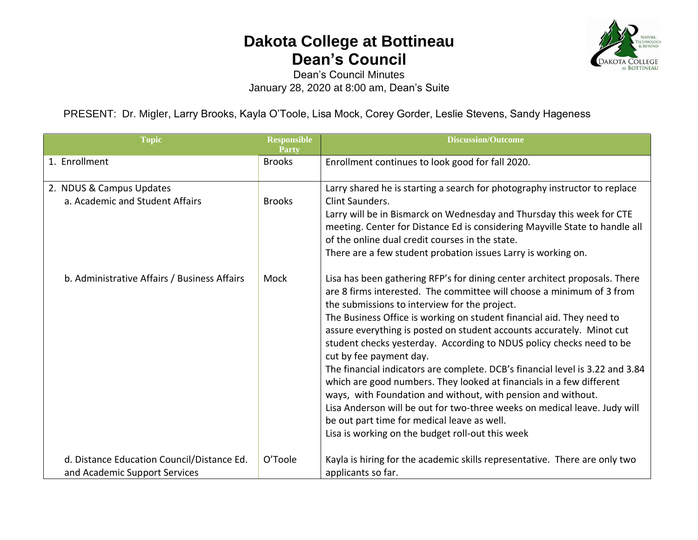## **Dakota College at Bottineau Dean's Council**



Dean's Council Minutes January 28, 2020 at 8:00 am, Dean's Suite

PRESENT: Dr. Migler, Larry Brooks, Kayla O'Toole, Lisa Mock, Corey Gorder, Leslie Stevens, Sandy Hageness

| <b>Topic</b>                                                                | <b>Responsible</b><br>Party | <b>Discussion/Outcome</b>                                                                                                                                                                                                                                                                                                                                                                                                                                                                                                                                                                                                                                                                                                                                                                                                                                          |
|-----------------------------------------------------------------------------|-----------------------------|--------------------------------------------------------------------------------------------------------------------------------------------------------------------------------------------------------------------------------------------------------------------------------------------------------------------------------------------------------------------------------------------------------------------------------------------------------------------------------------------------------------------------------------------------------------------------------------------------------------------------------------------------------------------------------------------------------------------------------------------------------------------------------------------------------------------------------------------------------------------|
| 1. Enrollment                                                               | <b>Brooks</b>               | Enrollment continues to look good for fall 2020.                                                                                                                                                                                                                                                                                                                                                                                                                                                                                                                                                                                                                                                                                                                                                                                                                   |
| 2. NDUS & Campus Updates<br>a. Academic and Student Affairs                 | <b>Brooks</b>               | Larry shared he is starting a search for photography instructor to replace<br>Clint Saunders.<br>Larry will be in Bismarck on Wednesday and Thursday this week for CTE<br>meeting. Center for Distance Ed is considering Mayville State to handle all<br>of the online dual credit courses in the state.<br>There are a few student probation issues Larry is working on.                                                                                                                                                                                                                                                                                                                                                                                                                                                                                          |
| b. Administrative Affairs / Business Affairs                                | Mock                        | Lisa has been gathering RFP's for dining center architect proposals. There<br>are 8 firms interested. The committee will choose a minimum of 3 from<br>the submissions to interview for the project.<br>The Business Office is working on student financial aid. They need to<br>assure everything is posted on student accounts accurately. Minot cut<br>student checks yesterday. According to NDUS policy checks need to be<br>cut by fee payment day.<br>The financial indicators are complete. DCB's financial level is 3.22 and 3.84<br>which are good numbers. They looked at financials in a few different<br>ways, with Foundation and without, with pension and without.<br>Lisa Anderson will be out for two-three weeks on medical leave. Judy will<br>be out part time for medical leave as well.<br>Lisa is working on the budget roll-out this week |
| d. Distance Education Council/Distance Ed.<br>and Academic Support Services | O'Toole                     | Kayla is hiring for the academic skills representative. There are only two<br>applicants so far.                                                                                                                                                                                                                                                                                                                                                                                                                                                                                                                                                                                                                                                                                                                                                                   |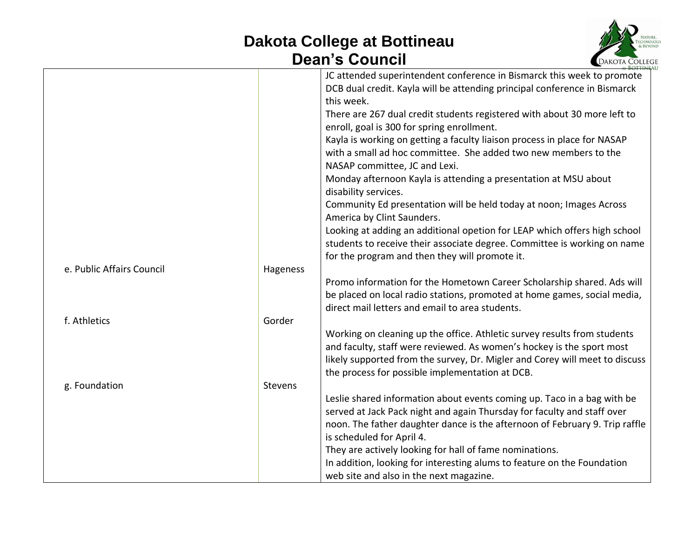## **Dakota College at Bottineau Dean's Council**



|                           |          | JC attended superintendent conference in Bismarck this week to promote      |
|---------------------------|----------|-----------------------------------------------------------------------------|
|                           |          | DCB dual credit. Kayla will be attending principal conference in Bismarck   |
|                           |          | this week.                                                                  |
|                           |          | There are 267 dual credit students registered with about 30 more left to    |
|                           |          | enroll, goal is 300 for spring enrollment.                                  |
|                           |          | Kayla is working on getting a faculty liaison process in place for NASAP    |
|                           |          | with a small ad hoc committee. She added two new members to the             |
|                           |          | NASAP committee, JC and Lexi.                                               |
|                           |          | Monday afternoon Kayla is attending a presentation at MSU about             |
|                           |          | disability services.                                                        |
|                           |          | Community Ed presentation will be held today at noon; Images Across         |
|                           |          | America by Clint Saunders.                                                  |
|                           |          | Looking at adding an additional opetion for LEAP which offers high school   |
|                           |          | students to receive their associate degree. Committee is working on name    |
|                           |          | for the program and then they will promote it.                              |
| e. Public Affairs Council | Hageness |                                                                             |
|                           |          | Promo information for the Hometown Career Scholarship shared. Ads will      |
|                           |          | be placed on local radio stations, promoted at home games, social media,    |
|                           |          | direct mail letters and email to area students.                             |
| f. Athletics              | Gorder   |                                                                             |
|                           |          | Working on cleaning up the office. Athletic survey results from students    |
|                           |          | and faculty, staff were reviewed. As women's hockey is the sport most       |
|                           |          | likely supported from the survey, Dr. Migler and Corey will meet to discuss |
|                           |          | the process for possible implementation at DCB.                             |
| g. Foundation             | Stevens  |                                                                             |
|                           |          | Leslie shared information about events coming up. Taco in a bag with be     |
|                           |          | served at Jack Pack night and again Thursday for faculty and staff over     |
|                           |          | noon. The father daughter dance is the afternoon of February 9. Trip raffle |
|                           |          | is scheduled for April 4.                                                   |
|                           |          | They are actively looking for hall of fame nominations.                     |
|                           |          | In addition, looking for interesting alums to feature on the Foundation     |
|                           |          | web site and also in the next magazine.                                     |